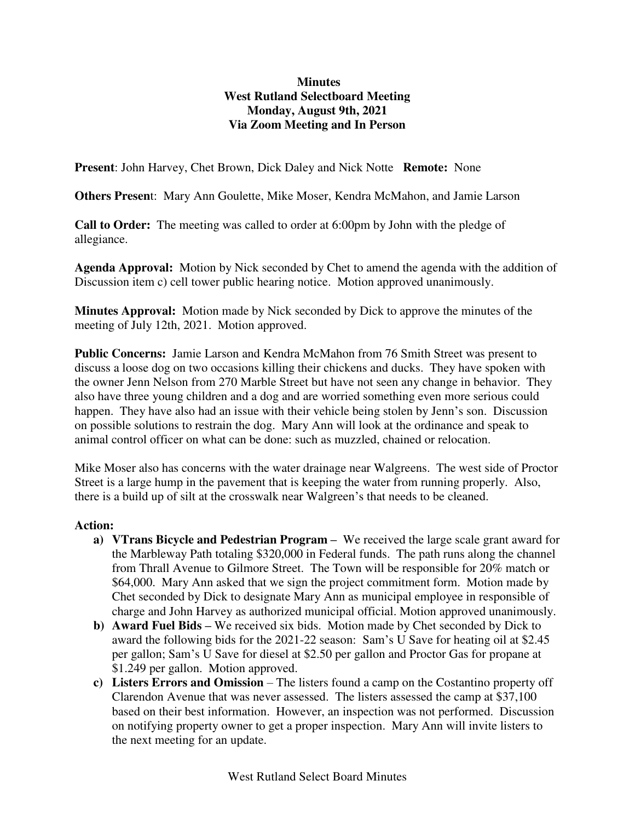## **Minutes West Rutland Selectboard Meeting Monday, August 9th, 2021 Via Zoom Meeting and In Person**

**Present**: John Harvey, Chet Brown, Dick Daley and Nick Notte **Remote:** None

**Others Presen**t: Mary Ann Goulette, Mike Moser, Kendra McMahon, and Jamie Larson

**Call to Order:** The meeting was called to order at 6:00pm by John with the pledge of allegiance.

**Agenda Approval:** Motion by Nick seconded by Chet to amend the agenda with the addition of Discussion item c) cell tower public hearing notice. Motion approved unanimously.

**Minutes Approval:** Motion made by Nick seconded by Dick to approve the minutes of the meeting of July 12th, 2021. Motion approved.

**Public Concerns:** Jamie Larson and Kendra McMahon from 76 Smith Street was present to discuss a loose dog on two occasions killing their chickens and ducks. They have spoken with the owner Jenn Nelson from 270 Marble Street but have not seen any change in behavior. They also have three young children and a dog and are worried something even more serious could happen. They have also had an issue with their vehicle being stolen by Jenn's son. Discussion on possible solutions to restrain the dog. Mary Ann will look at the ordinance and speak to animal control officer on what can be done: such as muzzled, chained or relocation.

Mike Moser also has concerns with the water drainage near Walgreens. The west side of Proctor Street is a large hump in the pavement that is keeping the water from running properly. Also, there is a build up of silt at the crosswalk near Walgreen's that needs to be cleaned.

## **Action:**

- **a) VTrans Bicycle and Pedestrian Program –** We received the large scale grant award for the Marbleway Path totaling \$320,000 in Federal funds. The path runs along the channel from Thrall Avenue to Gilmore Street. The Town will be responsible for 20% match or \$64,000. Mary Ann asked that we sign the project commitment form. Motion made by Chet seconded by Dick to designate Mary Ann as municipal employee in responsible of charge and John Harvey as authorized municipal official. Motion approved unanimously.
- **b) Award Fuel Bids –** We received six bids. Motion made by Chet seconded by Dick to award the following bids for the 2021-22 season: Sam's U Save for heating oil at \$2.45 per gallon; Sam's U Save for diesel at \$2.50 per gallon and Proctor Gas for propane at \$1.249 per gallon. Motion approved.
- **c) Listers Errors and Omission**  The listers found a camp on the Costantino property off Clarendon Avenue that was never assessed. The listers assessed the camp at \$37,100 based on their best information. However, an inspection was not performed. Discussion on notifying property owner to get a proper inspection. Mary Ann will invite listers to the next meeting for an update.